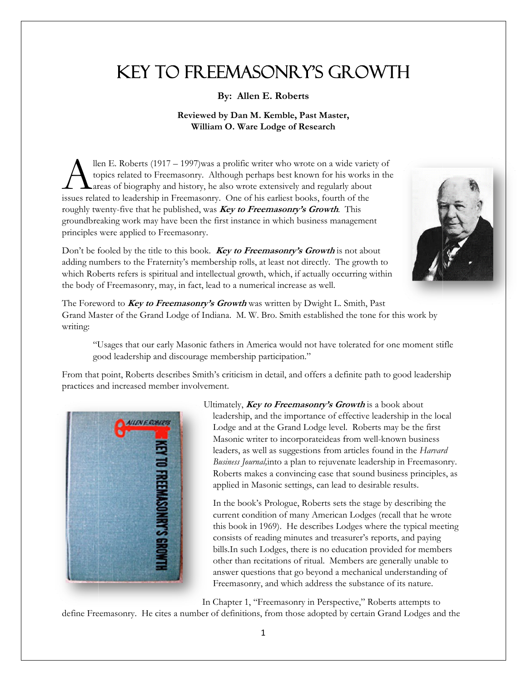## **KEY TO FREEMASONRY'S GROWTH**

By: Allen E. Roberts

## Reviewed by Dan M. Kemble, Past Master, William O. Ware Lodge of Research

llen E. Roberts (1917 – 1997) was a prolific writer who wrote on a wide variety of topics related to Freemasonry. Although perhaps best known for his works in the areas of biography and history, he also wrote extensively and regularly about issues related to leadership in Freemasonry. One of his earliest books, fourth of the roughly twenty-five that he published, was **Key to Freemasonry's Growth**. This groundbreaking work may have been the first instance in which business management principles were applied to Freemasonry.



Don't be fooled by the title to this book. Key to Freemasonry's Growth is not about adding numbers to the Fraternity's membership rolls, at least not directly. The growth to which Roberts refers is spiritual and intellectual growth, which, if actually occurring within the body of Freemasonry, may, in fact, lead to a numerical increase as well.

The Foreword to Key to Freemasonry's Growth was written by Dwight L. Smith, Past Grand Master of the Grand Lodge of Indiana. M. W. Bro. Smith established the tone for this work by writing:

"Usages that our early Masonic fathers in America would not have tolerated for one moment stifle good leadership and discourage membership participation."

From that point, Roberts describes Smith's criticism in detail, and offers a definite path to good leadership practices and increased member involvement.



Ultimately, Key to Freemasonry's Growth is a book about leadership, and the importance of effective leadership in the local Lodge and at the Grand Lodge level. Roberts may be the first Masonic writer to incorporateideas from well-known business leaders, as well as suggestions from articles found in the Harvard Business Journal, into a plan to rejuvenate leadership in Freemasonry. Roberts makes a convincing case that sound business principles, as applied in Masonic settings, can lead to desirable results.

In the book's Prologue, Roberts sets the stage by describing the current condition of many American Lodges (recall that he wrote this book in 1969). He describes Lodges where the typical meeting consists of reading minutes and treasurer's reports, and paying bills. In such Lodges, there is no education provided for members other than recitations of ritual. Members are generally unable to answer questions that go beyond a mechanical understanding of Freemasonry, and which address the substance of its nature.

In Chapter 1, "Freemasonry in Perspective," Roberts attempts to

define Freemasonry. He cites a number of definitions, from those adopted by certain Grand Lodges and the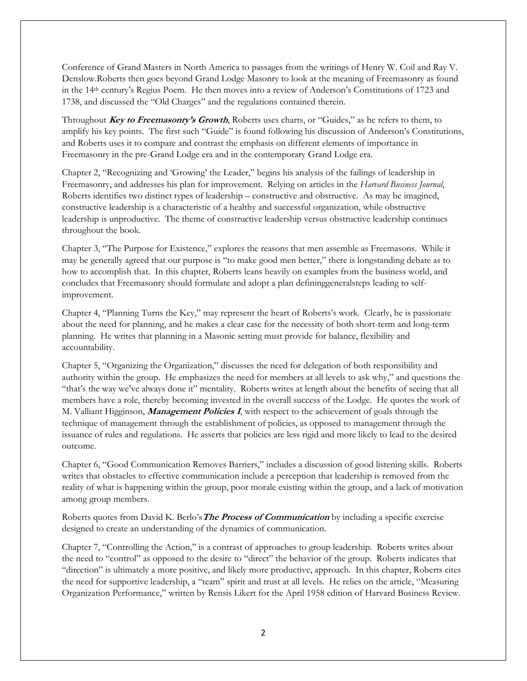Conference of Grand Masters in North America to passages from the writings of Henry W. Coil and Ray V. Denslow.Roberts then goes beyond Grand Lodge Masonry to look at the meaning of Freemasonry as found in the 14th century's Regius Poem. He then moves into a review of Anderson's Constitutions of 1723 and 1738, and discussed the "Old Charges" and the regulations contained therein.

Throughout **Key to Freemasonry's Growth**, Roberts uses charts, or "Guides," as he refers to them, to amplify his key points. The first such "Guide" is found following his discussion of Anderson's Constitutions, and Roberts uses it to compare and contrast the emphasis on different elements of importance in Freemasonry in the pre-Grand Lodge era and in the contemporary Grand Lodge era.

Chapter 2, "Recognizing and 'Growing' the Leader," begins his analysis of the failings of leadership in Freemasonry, and addresses his plan for improvement. Relying on articles in the *Harvard Business Journal*, Roberts identifies two distinct types of leadership – constructive and obstructive. As may be imagined, constructive leadership is a characteristic of a healthy and successful organization, while obstructive leadership is unproductive. The theme of constructive leadership versus obstructive leadership continues throughout the book.

Chapter 3, "The Purpose for Existence," explores the reasons that men assemble as Freemasons. While it may be generally agreed that our purpose is "to make good men better," there is longstanding debate as to how to accomplish that. In this chapter, Roberts leans heavily on examples from the business world, and concludes that Freemasonry should formulate and adopt a plan defininggeneralsteps leading to selfimprovement.

Chapter 4, "Planning Turns the Key," may represent the heart of Roberts's work. Clearly, he is passionate about the need for planning, and he makes a clear case for the necessity of both short-term and long-term planning. He writes that planning in a Masonic setting must provide for balance, flexibility and accountability.

Chapter 5, "Organizing the Organization," discusses the need for delegation of both responsibility and authority within the group. He emphasizes the need for members at all levels to ask why," and questions the "that's the way we've always done it" mentality. Roberts writes at length about the benefits of seeing that all members have a role, thereby becoming invested in the overall success of the Lodge. He quotes the work of M. Valliant Higginson, **Management Policies I**, with respect to the achievement of goals through the technique of management through the establishment of policies, as opposed to management through the issuance of rules and regulations. He asserts that policies are less rigid and more likely to lead to the desired outcome.

Chapter 6, "Good Communication Removes Barriers," includes a discussion of good listening skills. Roberts writes that obstacles to effective communication include a perception that leadership is removed from the reality of what is happening within the group, poor morale existing within the group, and a lack of motivation among group members.

Roberts quotes from David K. Berlo's**The Process of Communication** by including a specific exercise designed to create an understanding of the dynamics of communication.

Chapter 7, "Controlling the Action," is a contrast of approaches to group leadership. Roberts writes about the need to "control" as opposed to the desire to "direct" the behavior of the group. Roberts indicates that "direction" is ultimately a more positive, and likely more productive, approach. In this chapter, Roberts cites the need for supportive leadership, a "team" spirit and trust at all levels. He relies on the article, "Measuring Organization Performance," written by Rensis Likert for the April 1958 edition of Harvard Business Review.